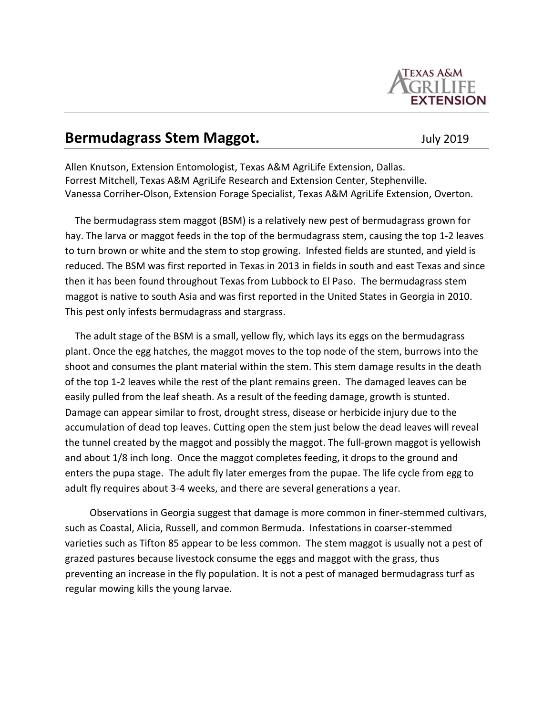

## **Bermudagrass Stem Maggot. Bermudagrass Stem Maggot.** July 2019

Allen Knutson, Extension Entomologist, Texas A&M AgriLife Extension, Dallas. Forrest Mitchell, Texas A&M AgriLife Research and Extension Center, Stephenville. Vanessa Corriher-Olson, Extension Forage Specialist, Texas A&M AgriLife Extension, Overton.

 The bermudagrass stem maggot (BSM) is a relatively new pest of bermudagrass grown for hay. The larva or maggot feeds in the top of the bermudagrass stem, causing the top 1-2 leaves to turn brown or white and the stem to stop growing. Infested fields are stunted, and yield is reduced. The BSM was first reported in Texas in 2013 in fields in south and east Texas and since then it has been found throughout Texas from Lubbock to El Paso. The bermudagrass stem maggot is native to south Asia and was first reported in the United States in Georgia in 2010. This pest only infests bermudagrass and stargrass.

 The adult stage of the BSM is a small, yellow fly, which lays its eggs on the bermudagrass plant. Once the egg hatches, the maggot moves to the top node of the stem, burrows into the shoot and consumes the plant material within the stem. This stem damage results in the death of the top 1-2 leaves while the rest of the plant remains green. The damaged leaves can be easily pulled from the leaf sheath. As a result of the feeding damage, growth is stunted. Damage can appear similar to frost, drought stress, disease or herbicide injury due to the accumulation of dead top leaves. Cutting open the stem just below the dead leaves will reveal the tunnel created by the maggot and possibly the maggot. The full-grown maggot is yellowish and about 1/8 inch long. Once the maggot completes feeding, it drops to the ground and enters the pupa stage. The adult fly later emerges from the pupae. The life cycle from egg to adult fly requires about 3-4 weeks, and there are several generations a year.

 Observations in Georgia suggest that damage is more common in finer-stemmed cultivars, such as Coastal, Alicia, Russell, and common Bermuda. Infestations in coarser-stemmed varieties such as Tifton 85 appear to be less common. The stem maggot is usually not a pest of grazed pastures because livestock consume the eggs and maggot with the grass, thus preventing an increase in the fly population. It is not a pest of managed bermudagrass turf as regular mowing kills the young larvae.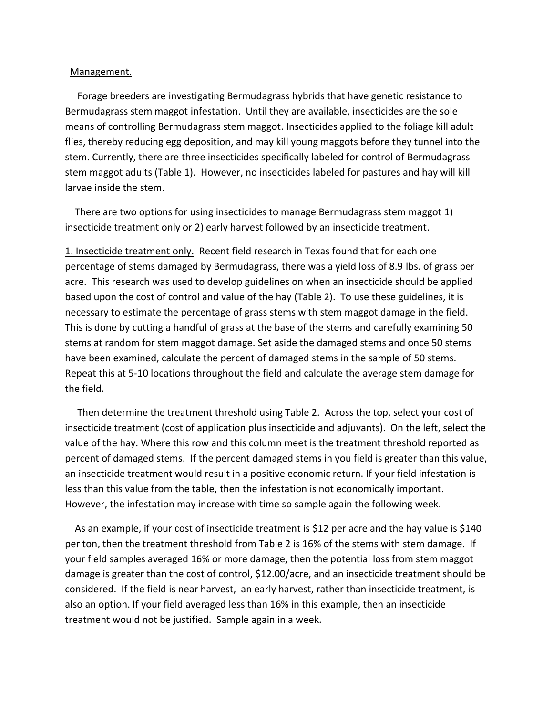## Management.

 Forage breeders are investigating Bermudagrass hybrids that have genetic resistance to Bermudagrass stem maggot infestation. Until they are available, insecticides are the sole means of controlling Bermudagrass stem maggot. Insecticides applied to the foliage kill adult flies, thereby reducing egg deposition, and may kill young maggots before they tunnel into the stem. Currently, there are three insecticides specifically labeled for control of Bermudagrass stem maggot adults (Table 1). However, no insecticides labeled for pastures and hay will kill larvae inside the stem.

 There are two options for using insecticides to manage Bermudagrass stem maggot 1) insecticide treatment only or 2) early harvest followed by an insecticide treatment.

1. Insecticide treatment only. Recent field research in Texas found that for each one percentage of stems damaged by Bermudagrass, there was a yield loss of 8.9 lbs. of grass per acre. This research was used to develop guidelines on when an insecticide should be applied based upon the cost of control and value of the hay (Table 2). To use these guidelines, it is necessary to estimate the percentage of grass stems with stem maggot damage in the field. This is done by cutting a handful of grass at the base of the stems and carefully examining 50 stems at random for stem maggot damage. Set aside the damaged stems and once 50 stems have been examined, calculate the percent of damaged stems in the sample of 50 stems. Repeat this at 5-10 locations throughout the field and calculate the average stem damage for the field.

 Then determine the treatment threshold using Table 2. Across the top, select your cost of insecticide treatment (cost of application plus insecticide and adjuvants). On the left, select the value of the hay. Where this row and this column meet is the treatment threshold reported as percent of damaged stems. If the percent damaged stems in you field is greater than this value, an insecticide treatment would result in a positive economic return. If your field infestation is less than this value from the table, then the infestation is not economically important. However, the infestation may increase with time so sample again the following week.

 As an example, if your cost of insecticide treatment is \$12 per acre and the hay value is \$140 per ton, then the treatment threshold from Table 2 is 16% of the stems with stem damage. If your field samples averaged 16% or more damage, then the potential loss from stem maggot damage is greater than the cost of control, \$12.00/acre, and an insecticide treatment should be considered. If the field is near harvest, an early harvest, rather than insecticide treatment, is also an option. If your field averaged less than 16% in this example, then an insecticide treatment would not be justified. Sample again in a week.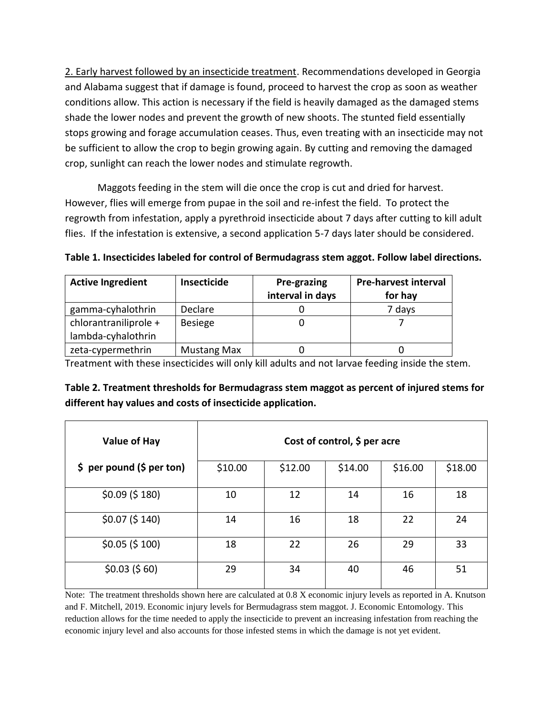2. Early harvest followed by an insecticide treatment. Recommendations developed in Georgia and Alabama suggest that if damage is found, proceed to harvest the crop as soon as weather conditions allow. This action is necessary if the field is heavily damaged as the damaged stems shade the lower nodes and prevent the growth of new shoots. The stunted field essentially stops growing and forage accumulation ceases. Thus, even treating with an insecticide may not be sufficient to allow the crop to begin growing again. By cutting and removing the damaged crop, sunlight can reach the lower nodes and stimulate regrowth.

Maggots feeding in the stem will die once the crop is cut and dried for harvest. However, flies will emerge from pupae in the soil and re-infest the field. To protect the regrowth from infestation, apply a pyrethroid insecticide about 7 days after cutting to kill adult flies. If the infestation is extensive, a second application 5-7 days later should be considered.

**Table 1. Insecticides labeled for control of Bermudagrass stem aggot. Follow label directions.**

| <b>Active Ingredient</b> | Insecticide        | Pre-grazing      | <b>Pre-harvest interval</b> |  |
|--------------------------|--------------------|------------------|-----------------------------|--|
|                          |                    | interval in days | for hay                     |  |
| gamma-cyhalothrin        | Declare            |                  | 7 days                      |  |
| chlorantraniliprole +    | <b>Besiege</b>     |                  |                             |  |
| lambda-cyhalothrin       |                    |                  |                             |  |
| zeta-cypermethrin        | <b>Mustang Max</b> |                  |                             |  |

Treatment with these insecticides will only kill adults and not larvae feeding inside the stem.

| Table 2. Treatment thresholds for Bermudagrass stem maggot as percent of injured stems for |
|--------------------------------------------------------------------------------------------|
| different hay values and costs of insecticide application.                                 |

| <b>Value of Hay</b>       | Cost of control, $$$ per acre |         |         |         |         |  |
|---------------------------|-------------------------------|---------|---------|---------|---------|--|
| \$ per pound (\$ per ton) | \$10.00                       | \$12.00 | \$14.00 | \$16.00 | \$18.00 |  |
| $$0.09$ (\$ 180)          | 10                            | 12      | 14      | 16      | 18      |  |
| $$0.07$ (\$ 140)          | 14                            | 16      | 18      | 22      | 24      |  |
| $$0.05$ (\$ 100)          | 18                            | 22      | 26      | 29      | 33      |  |
| $$0.03$ (\$60)            | 29                            | 34      | 40      | 46      | 51      |  |

Note: The treatment thresholds shown here are calculated at 0.8 X economic injury levels as reported in A. Knutson and F. Mitchell, 2019. Economic injury levels for Bermudagrass stem maggot. J. Economic Entomology. This reduction allows for the time needed to apply the insecticide to prevent an increasing infestation from reaching the economic injury level and also accounts for those infested stems in which the damage is not yet evident.